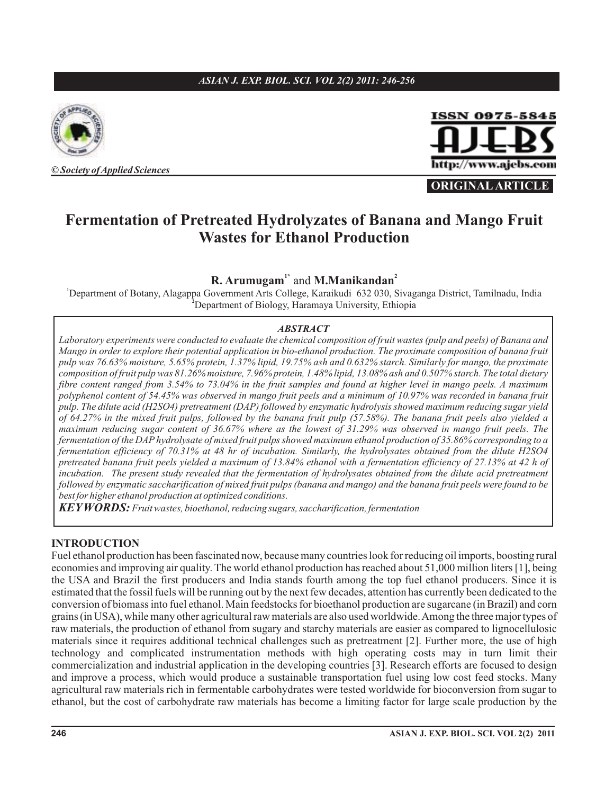#### *ASIAN J. EXP. BIOL. SCI. VOL 2(2) 2011: 246-256*



**©** *Society ofApplied Sciences*



**ORIGINAL ARTICLE**

# **Fermentation of Pretreated Hydrolyzates of Banana and Mango Fruit Wastes for Ethanol Production**

# **R. Arumugam**<sup>1\*</sup> and **M.Manikandan**<sup>2</sup>

<sup>1</sup>Department of Botany, Alagappa Government Arts College, Karaikudi 632 030, Sivaganga District, Tamilnadu, India Department of Biology, Haramaya University, Ethiopia **<sup>2</sup>**

#### *ABSTRACT*

*Laboratory experiments were conducted to evaluate the chemical composition of fruit wastes (pulp and peels) of Banana and Mango in order to explore their potential application in bio-ethanol production. The proximate composition of banana fruit pulp was 76.63% moisture, 5.65% protein, 1.37% lipid, 19.75% ash and 0.632% starch. Similarly for mango, the proximate composition of fruit pulp was 81.26% moisture, 7.96% protein, 1.48% lipid, 13.08% ash and 0.507% starch. The total dietary fibre content ranged from 3.54% to 73.04% in the fruit samples and found at higher level in mango peels. A maximum polyphenol content of 54.45% was observed in mango fruit peels and a minimum of 10.97% was recorded in banana fruit pulp. The dilute acid (H2SO4) pretreatment (DAP) followed by enzymatic hydrolysis showed maximum reducing sugar yield of 64.27% in the mixed fruit pulps, followed by the banana fruit pulp (57.58%). The banana fruit peels also yielded a maximum reducing sugar content of 36.67% where as the lowest of 31.29% was observed in mango fruit peels. The fermentation of the DAP hydrolysate of mixed fruit pulps showed maximum ethanol production of 35.86% corresponding to a fermentation efficiency of 70.31% at 48 hr of incubation. Similarly, the hydrolysates obtained from the dilute H2SO4 pretreated banana fruit peels yielded a maximum of 13.84% ethanol with a fermentation efficiency of 27.13% at 42 h of incubation. The present study revealed that the fermentation of hydrolysates obtained from the dilute acid pretreatment followed by enzymatic saccharification of mixed fruit pulps (banana and mango) and the banana fruit peels were found to be best for higher ethanol production at optimized conditions.*

*KEYWORDS: Fruit wastes, bioethanol, reducing sugars, saccharification, fermentation*

#### **INTRODUCTION**

Fuel ethanol production has been fascinated now, because many countries look for reducing oil imports, boosting rural economies and improving air quality. The world ethanol production has reached about 51,000 million liters [1], being the USA and Brazil the first producers and India stands fourth among the top fuel ethanol producers. Since it is estimated that the fossil fuels will be running out by the next few decades, attention has currently been dedicated to the conversion of biomass into fuel ethanol. Main feedstocks for bioethanol production are sugarcane (in Brazil) and corn grains (in USA), while many other agricultural raw materials are also used worldwide.Among the three major types of raw materials, the production of ethanol from sugary and starchy materials are easier as compared to lignocellulosic materials since it requires additional technical challenges such as pretreatment [2]. Further more, the use of high technology and complicated instrumentation methods with high operating costs may in turn limit their commercialization and industrial application in the developing countries [3]. Research efforts are focused to design and improve a process, which would produce a sustainable transportation fuel using low cost feed stocks. Many agricultural raw materials rich in fermentable carbohydrates were tested worldwide for bioconversion from sugar to ethanol, but the cost of carbohydrate raw materials has become a limiting factor for large scale production by the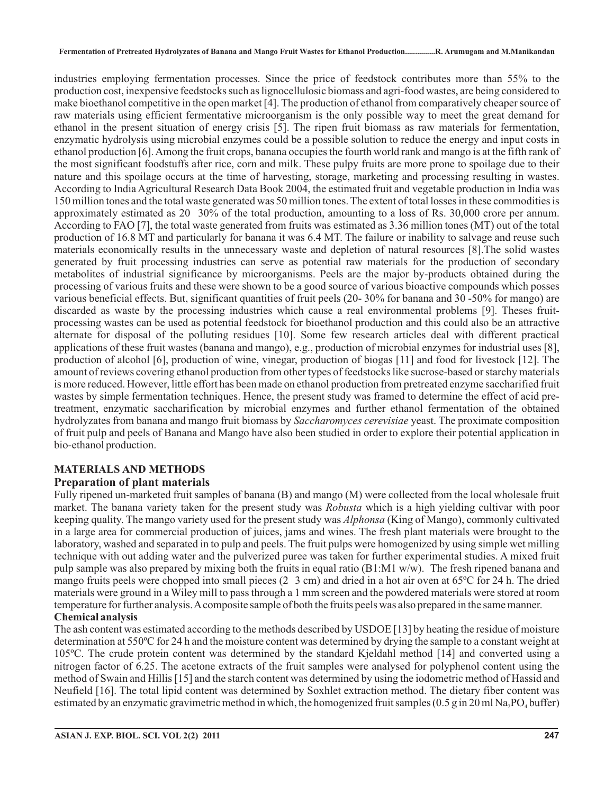industries employing fermentation processes. Since the price of feedstock contributes more than 55% to the production cost, inexpensive feedstocks such as lignocellulosic biomass and agri-food wastes, are being considered to make bioethanol competitive in the open market [4]. The production of ethanol from comparatively cheaper source of raw materials using efficient fermentative microorganism is the only possible way to meet the great demand for ethanol in the present situation of energy crisis [5]. The ripen fruit biomass as raw materials for fermentation, enzymatic hydrolysis using microbial enzymes could be a possible solution to reduce the energy and input costs in ethanol production [6]. Among the fruit crops, banana occupies the fourth world rank and mango is at the fifth rank of the most significant foodstuffs after rice, corn and milk. These pulpy fruits are more prone to spoilage due to their nature and this spoilage occurs at the time of harvesting, storage, marketing and processing resulting in wastes. According to India Agricultural Research Data Book 2004, the estimated fruit and vegetable production in India was 150 million tones and the total waste generated was 50 million tones. The extent of total losses in these commodities is approximately estimated as 20 30% of the total production, amounting to a loss of Rs. 30,000 crore per annum. According to FAO [7], the total waste generated from fruits was estimated as 3.36 million tones (MT) out of the total production of 16.8 MT and particularly for banana it was 6.4 MT. The failure or inability to salvage and reuse such materials economically results in the unnecessary waste and depletion of natural resources [8].The solid wastes generated by fruit processing industries can serve as potential raw materials for the production of secondary metabolites of industrial significance by microorganisms. Peels are the major by-products obtained during the processing of various fruits and these were shown to be a good source of various bioactive compounds which posses various beneficial effects. But, significant quantities of fruit peels (20- 30% for banana and 30 -50% for mango) are discarded as waste by the processing industries which cause a real environmental problems [9]. Theses fruitprocessing wastes can be used as potential feedstock for bioethanol production and this could also be an attractive alternate for disposal of the polluting residues [10]. Some few research articles deal with different practical applications of these fruit wastes (banana and mango), e.g., production of microbial enzymes for industrial uses [8], production of alcohol [6], production of wine, vinegar, production of biogas [11] and food for livestock [12]. The amount of reviews covering ethanol production from other types of feedstocks like sucrose-based or starchy materials is more reduced. However, little effort has been made on ethanol production from pretreated enzyme saccharified fruit wastes by simple fermentation techniques. Hence, the present study was framed to determine the effect of acid pretreatment, enzymatic saccharification by microbial enzymes and further ethanol fermentation of the obtained hydrolyzates from banana and mango fruit biomass by Saccharomyces cerevisiae yeast. The proximate composition of fruit pulp and peels of Banana and Mango have also been studied in order to explore their potential application in bio-ethanol production.

# **MATERIALS AND METHODS**

# **Preparation of plant materials**

Fully ripened un-marketed fruit samples of banana (B) and mango (M) were collected from the local wholesale fruit market. The banana variety taken for the present study was *Robusta* which is a high yielding cultivar with poor keeping quality. The mango variety used for the present study was *Alphonsa* (King of Mango), commonly cultivated in a large area for commercial production of juices, jams and wines. The fresh plant materials were brought to the laboratory, washed and separated in to pulp and peels. The fruit pulps were homogenized by using simple wet milling technique with out adding water and the pulverized puree was taken for further experimental studies. A mixed fruit pulp sample was also prepared by mixing both the fruits in equal ratio (B1:M1 w/w). The fresh ripened banana and mango fruits peels were chopped into small pieces (2 3 cm) and dried in a hot air oven at 65ºC for 24 h. The dried materials were ground in a Wiley mill to pass through a 1 mm screen and the powdered materials were stored at room temperature for further analysis.Acomposite sample of both the fruits peels was also prepared in the same manner.

### **Chemical analysis**

The ash content was estimated according to the methods described by USDOE [13] by heating the residue of moisture determination at 550ºC for 24 h and the moisture content was determined by drying the sample to a constant weight at 105ºC. The crude protein content was determined by the standard Kjeldahl method [14] and converted using a nitrogen factor of 6.25. The acetone extracts of the fruit samples were analysed for polyphenol content using the method of Swain and Hillis [15] and the starch content was determined by using the iodometric method of Hassid and Neufield [16]. The total lipid content was determined by Soxhlet extraction method. The dietary fiber content was estimated by an enzymatic gravimetric method in which, the homogenized fruit samples (0.5 g in 20 ml Na<sub>2</sub>PO<sub>4</sub> buffer)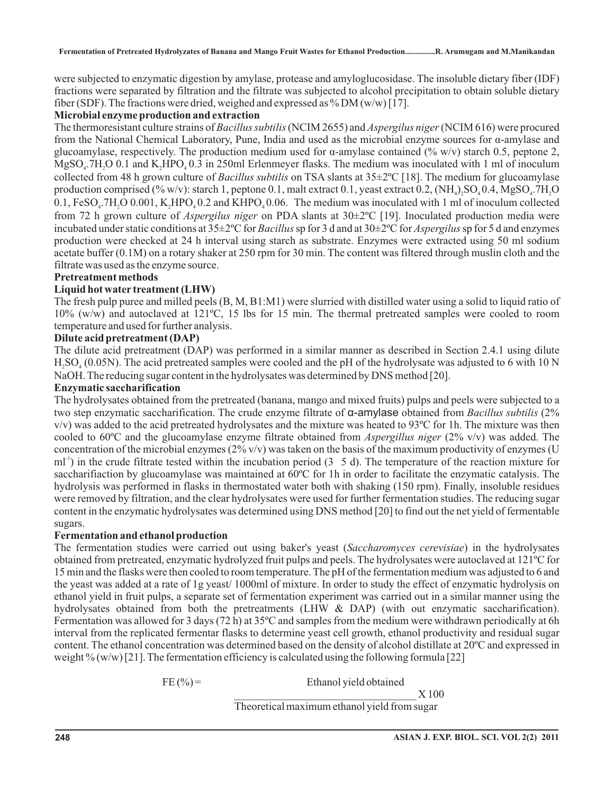were subjected to enzymatic digestion by amylase, protease and amyloglucosidase. The insoluble dietary fiber (IDF) fractions were separated by filtration and the filtrate was subjected to alcohol precipitation to obtain soluble dietary fiber (SDF). The fractions were dried, weighed and expressed as % DM  $(w/w)$  [17].

### **Microbial enzyme production and extraction**

The thermoresistant culture strains of Bacillus subtilis (NCIM 2655) and Aspergilus niger (NCIM 616) were procured from the National Chemical Laboratory, Pune, India and used as the microbial enzyme sources for α-amylase and glucoamylase, respectively. The production medium used for α-amylase contained (% w/v) starch 0.5, peptone 2,  $MgSO<sub>4</sub>$ .7H<sub>2</sub>O 0.1 and  $K<sub>2</sub>HPO<sub>4</sub>$  0.3 in 250ml Erlenmeyer flasks. The medium was inoculated with 1 ml of inoculum collected from 48 h grown culture of *Bacillus subtilis* on TSA slants at 35±2°C [18]. The medium for glucoamylase production comprised (% w/v): starch 1, peptone  $0.1$ , malt extract  $0.1$ , yeast extract  $0.2$ , (NH<sub>4</sub>)<sub>2</sub>SO<sub>4</sub>  $0.4$ , MgSO<sub>4</sub>.7H<sub>2</sub>O 0.1,  $FeSO_4$ .7H<sub>2</sub>O 0.001, K<sub>2</sub>HPO<sub>4</sub>0.2 and KHPO<sub>4</sub>0.06. The medium was inoculated with 1 ml of inoculum collected from 72 h grown culture of *Aspergilus niger* on PDA slants at 30±2°C [19]. Inoculated production media were incubated under static conditions at 35±2°C for *Bacillus* sp for 3 d and at 30±2°C for *Aspergilus* sp for 5 d and enzymes production were checked at 24 h interval using starch as substrate. Enzymes were extracted using 50 ml sodium acetate buffer (0.1M) on a rotary shaker at 250 rpm for 30 min. The content was filtered through muslin cloth and the filtrate was used as the enzyme source.

### **Pretreatment methods**

### **Liquid hot water treatment (LHW)**

The fresh pulp puree and milled peels (B, M, B1:M1) were slurried with distilled water using a solid to liquid ratio of 10% (w/w) and autoclaved at 121ºC, 15 lbs for 15 min. The thermal pretreated samples were cooled to room temperature and used for further analysis.

### **Dilute acid pretreatment (DAP)**

The dilute acid pretreatment (DAP) was performed in a similar manner as described in Section 2.4.1 using dilute  $H_2SO_4(0.05N)$ . The acid pretreated samples were cooled and the pH of the hydrolysate was adjusted to 6 with 10 N NaOH. The reducing sugar content in the hydrolysates was determined by DNS method [20].

### **Enzymatic saccharification**

The hydrolysates obtained from the pretreated (banana, mango and mixed fruits) pulps and peels were subjected to a two step enzymatic saccharification. The crude enzyme filtrate of α-amylase obtained from Bacillus subtilis (2%  $v/v$ ) was added to the acid pretreated hydrolysates and the mixture was heated to 93 $^{\circ}$ C for 1h. The mixture was then cooled to 60°C and the glucoamylase enzyme filtrate obtained from *Aspergillus niger* (2% v/v) was added. The concentration of the microbial enzymes  $(2\% v/v)$  was taken on the basis of the maximum productivity of enzymes (U  $ml<sup>-1</sup>$ ) in the crude filtrate tested within the incubation period (3 5 d). The temperature of the reaction mixture for saccharifiaction by glucoamylase was maintained at 60°C for 1h in order to facilitate the enzymatic catalysis. The hydrolysis was performed in flasks in thermostated water both with shaking (150 rpm). Finally, insoluble residues were removed by filtration, and the clear hydrolysates were used for further fermentation studies. The reducing sugar content in the enzymatic hydrolysates was determined using DNS method [20] to find out the net yield of fermentable sugars.

### **Fermentation and ethanol production**

The fermentation studies were carried out using baker's yeast (Saccharomyces cerevisiae) in the hydrolysates obtained from pretreated, enzymatic hydrolyzed fruit pulps and peels. The hydrolysates were autoclaved at 121ºC for 15 min and the flasks were then cooled to room temperature. The pH of the fermentation medium was adjusted to 6 and the yeast was added at a rate of 1g yeast/ 1000ml of mixture. In order to study the effect of enzymatic hydrolysis on ethanol yield in fruit pulps, a separate set of fermentation experiment was carried out in a similar manner using the hydrolysates obtained from both the pretreatments (LHW & DAP) (with out enzymatic saccharification). Fermentation was allowed for 3 days (72 h) at 35ºC and samples from the medium were withdrawn periodically at 6h interval from the replicated fermentar flasks to determine yeast cell growth, ethanol productivity and residual sugar content. The ethanol concentration was determined based on the density of alcohol distillate at 20ºC and expressed in weight  $\%$  (w/w) [21]. The fermentation efficiency is calculated using the following formula [22]

 $FE (%) =$  Ethanol yield obtained

Theoretical maximum ethanol yield from sugar

\_\_\_\_\_\_\_\_\_\_\_\_\_\_\_\_\_\_\_\_\_\_\_\_\_\_\_\_\_\_\_\_\_ X 100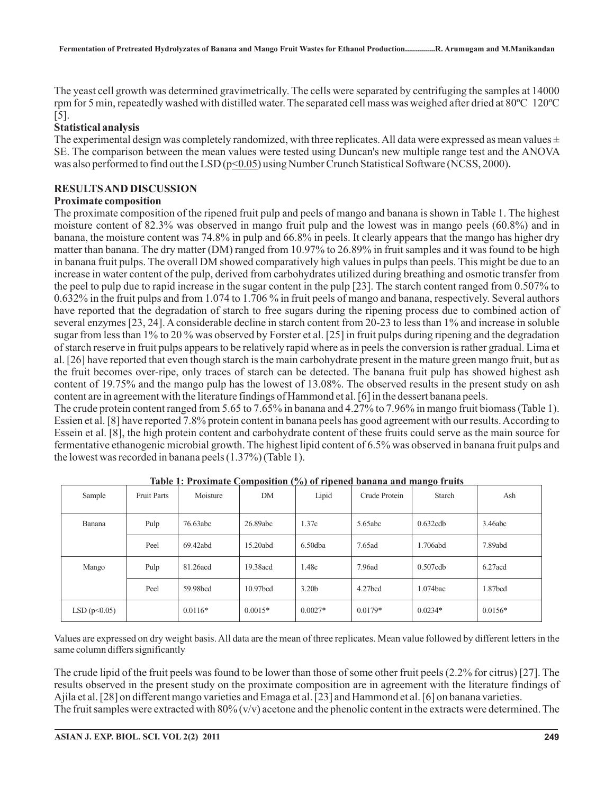The yeast cell growth was determined gravimetrically. The cells were separated by centrifuging the samples at 14000 rpm for 5 min, repeatedly washed with distilled water. The separated cell mass was weighed after dried at 80ºC 120ºC [5].

#### **Statistical analysis**

The experimental design was completely randomized, with three replicates. All data were expressed as mean values  $\pm$ SE. The comparison between the mean values were tested using Duncan's new multiple range test and the ANOVA was also performed to find out the LSD ( $p \le 0.05$ ) using Number Crunch Statistical Software (NCSS, 2000).

#### **RESULTSAND DISCUSSION**

#### **Proximate composition**

The proximate composition of the ripened fruit pulp and peels of mango and banana is shown in Table 1. The highest moisture content of 82.3% was observed in mango fruit pulp and the lowest was in mango peels (60.8%) and in banana, the moisture content was 74.8% in pulp and 66.8% in peels. It clearly appears that the mango has higher dry matter than banana. The dry matter (DM) ranged from 10.97% to 26.89% in fruit samples and it was found to be high in banana fruit pulps. The overall DM showed comparatively high values in pulps than peels. This might be due to an increase in water content of the pulp, derived from carbohydrates utilized during breathing and osmotic transfer from the peel to pulp due to rapid increase in the sugar content in the pulp [23]. The starch content ranged from 0.507% to 0.632% in the fruit pulps and from 1.074 to 1.706 % in fruit peels of mango and banana, respectively. Several authors have reported that the degradation of starch to free sugars during the ripening process due to combined action of several enzymes [23, 24]. A considerable decline in starch content from 20-23 to less than 1% and increase in soluble sugar from less than 1% to 20 % was observed by Forster et al. [25] in fruit pulps during ripening and the degradation of starch reserve in fruit pulps appears to be relatively rapid where as in peels the conversion is rather gradual. Lima et al. [26] have reported that even though starch is the main carbohydrate present in the mature green mango fruit, but as the fruit becomes over-ripe, only traces of starch can be detected. The banana fruit pulp has showed highest ash content of 19.75% and the mango pulp has the lowest of 13.08%. The observed results in the present study on ash content are in agreement with the literature findings of Hammond et al. [6] in the dessert banana peels.

The crude protein content ranged from 5.65 to 7.65% in banana and 4.27% to 7.96% in mango fruit biomass (Table 1). Essien et al. [8] have reported 7.8% protein content in banana peels has good agreement with our results.According to Essein et al. [8], the high protein content and carbohydrate content of these fruits could serve as the main source for fermentative ethanogenic microbial growth. The highest lipid content of 6.5% was observed in banana fruit pulps and the lowest was recorded in banana peels (1.37%) (Table 1).

|                |                    | <u>rabie I. Froximate Composition (70) of Hipened banana and mango ituns</u> |                      |                   |                     |             |            |
|----------------|--------------------|------------------------------------------------------------------------------|----------------------|-------------------|---------------------|-------------|------------|
| Sample         | <b>Fruit Parts</b> | Moisture                                                                     | DΜ                   | Lipid             | Crude Protein       | Starch      | Ash        |
| Banana         | Pulp               | 76.63abc                                                                     | 26.89abc             | 1.37c             | 5.65abc             | 0.632cdb    | 3.46abc    |
|                | Peel               | 69.42abd                                                                     | 15.20abd             | $6.50$ dba        | 7.65ad              | 1.706abd    | 7.89abd    |
| Mango          | Pulp               | 81.26 acd                                                                    | 19.38acd             | 1.48c             | 7.96ad              | $0.507$ cdb | $6.27$ acd |
|                | Peel               | 59.98 <sub>bcd</sub>                                                         | 10.97 <sub>bcd</sub> | 3.20 <sub>b</sub> | 4.27 <sub>bcd</sub> | 1.074bac    | 1.87bcd    |
| LSD $(p<0.05)$ |                    | $0.0116*$                                                                    | $0.0015*$            | $0.0027*$         | $0.0179*$           | $0.0234*$   | $0.0156*$  |

**Table 1: Proximate Composition (%) of ripened banana and mango fruits**

Values are expressed on dry weight basis. All data are the mean of three replicates. Mean value followed by different letters in the same column differs significantly

The crude lipid of the fruit peels was found to be lower than those of some other fruit peels (2.2% for citrus) [27]. The results observed in the present study on the proximate composition are in agreement with the literature findings of Ajila et al. [28] on different mango varieties and Emaga et al. [23] and Hammond et al. [6] on banana varieties. The fruit samples were extracted with  $80\%$  (v/v) acetone and the phenolic content in the extracts were determined. The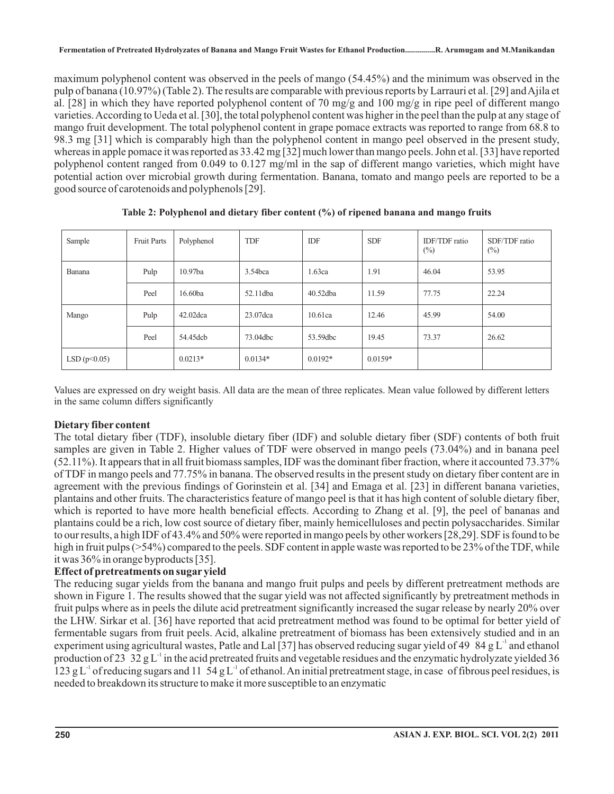maximum polyphenol content was observed in the peels of mango (54.45%) and the minimum was observed in the pulp of banana (10.97%) (Table 2). The results are comparable with previous reports by Larrauri et al. [29] andAjila et al. [28] in which they have reported polyphenol content of 70 mg/g and 100 mg/g in ripe peel of different mango varieties.According to Ueda et al. [30], the total polyphenol content was higher in the peel than the pulp at any stage of mango fruit development. The total polyphenol content in grape pomace extracts was reported to range from 68.8 to 98.3 mg [31] which is comparably high than the polyphenol content in mango peel observed in the present study, whereas in apple pomace it was reported as 33.42 mg [32] much lower than mango peels. John et al. [33] have reported polyphenol content ranged from 0.049 to 0.127 mg/ml in the sap of different mango varieties, which might have potential action over microbial growth during fermentation. Banana, tomato and mango peels are reported to be a good source of carotenoids and polyphenols [29].

| Sample      | <b>Fruit Parts</b> | Polyphenol | <b>TDF</b> | IDF         | <b>SDF</b> | IDF/TDF ratio<br>$(\%)$ | SDF/TDF ratio<br>$(\%)$ |
|-------------|--------------------|------------|------------|-------------|------------|-------------------------|-------------------------|
| Banana      | Pulp               | 10.97ba    | 3.54bca    | 1.63ca      | 1.91       | 46.04                   | 53.95                   |
|             | Peel               | 16.60ba    | 52.11dba   | $40.52$ dba | 11.59      | 77.75                   | 22.24                   |
| Mango       | Pulp               | 42.02dca   | 23.07 dca  | 10.61ca     | 12.46      | 45.99                   | 54.00                   |
|             | Peel               | 54.45dcb   | 73.04dbc   | 53.59dbc    | 19.45      | 73.37                   | 26.62                   |
| LSD(p<0.05) |                    | $0.0213*$  | $0.0134*$  | $0.0192*$   | $0.0159*$  |                         |                         |

**Table 2: Polyphenol and dietary fiber content (%) of ripened banana and mango fruits**

Values are expressed on dry weight basis. All data are the mean of three replicates. Mean value followed by different letters in the same column differs significantly

### **Dietary fiber content**

The total dietary fiber (TDF), insoluble dietary fiber (IDF) and soluble dietary fiber (SDF) contents of both fruit samples are given in Table 2. Higher values of TDF were observed in mango peels (73.04%) and in banana peel (52.11%). It appears that in all fruit biomass samples, IDF was the dominant fiber fraction, where it accounted 73.37% of TDF in mango peels and 77.75% in banana. The observed results in the present study on dietary fiber content are in agreement with the previous findings of Gorinstein et al. [34] and Emaga et al. [23] in different banana varieties, plantains and other fruits. The characteristics feature of mango peel is that it has high content of soluble dietary fiber, which is reported to have more health beneficial effects. According to Zhang et al. [9], the peel of bananas and plantains could be a rich, low cost source of dietary fiber, mainly hemicelluloses and pectin polysaccharides. Similar to our results, a high IDF of 43.4% and 50% were reported in mango peels by other workers [28,29]. SDF is found to be high in fruit pulps (>54%) compared to the peels. SDF content in apple waste was reported to be 23% of the TDF, while it was 36% in orange byproducts [35].

### **Effect of pretreatments on sugar yield**

The reducing sugar yields from the banana and mango fruit pulps and peels by different pretreatment methods are shown in Figure 1. The results showed that the sugar yield was not affected significantly by pretreatment methods in fruit pulps where as in peels the dilute acid pretreatment significantly increased the sugar release by nearly 20% over the LHW. Sirkar et al. [36] have reported that acid pretreatment method was found to be optimal for better yield of fermentable sugars from fruit peels. Acid, alkaline pretreatment of biomass has been extensively studied and in an experiment using agricultural wastes, Patle and Lal [37] has observed reducing sugar yield of 49  $84 \text{ g L}^{\text{-1}}$  and ethanol production of 23 32 g L<sup>-1</sup> in the acid pretreated fruits and vegetable residues and the enzymatic hydrolyzate yielded 36 123 g L<sup>-1</sup> of reducing sugars and 11 54 g L<sup>-1</sup> of ethanol. An initial pretreatment stage, in case of fibrous peel residues, is needed to breakdown its structure to make it more susceptible to an enzymatic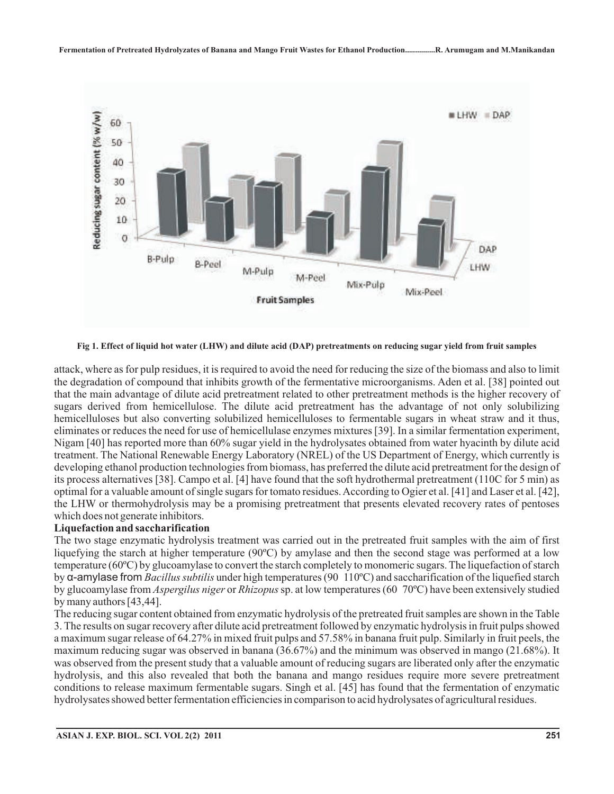

**Fig 1. Effect of liquid hot water (LHW) and dilute acid (DAP) pretreatments on reducing sugar yield from fruit samples**

attack, where as for pulp residues, it is required to avoid the need for reducing the size of the biomass and also to limit the degradation of compound that inhibits growth of the fermentative microorganisms. Aden et al. [38] pointed out that the main advantage of dilute acid pretreatment related to other pretreatment methods is the higher recovery of sugars derived from hemicellulose. The dilute acid pretreatment has the advantage of not only solubilizing hemicelluloses but also converting solubilized hemicelluloses to fermentable sugars in wheat straw and it thus, eliminates or reduces the need for use of hemicellulase enzymes mixtures [39]. In a similar fermentation experiment, Nigam [40] has reported more than 60% sugar yield in the hydrolysates obtained from water hyacinth by dilute acid treatment. The National Renewable Energy Laboratory (NREL) of the US Department of Energy, which currently is developing ethanol production technologies from biomass, has preferred the dilute acid pretreatment for the design of its process alternatives [38]. Campo et al. [4] have found that the soft hydrothermal pretreatment (110C for 5 min) as optimal for a valuable amount of single sugars for tomato residues.According to Ogier et al. [41] and Laser et al. [42], the LHW or thermohydrolysis may be a promising pretreatment that presents elevated recovery rates of pentoses which does not generate inhibitors.

#### **Liquefaction and saccharification**

The two stage enzymatic hydrolysis treatment was carried out in the pretreated fruit samples with the aim of first liquefying the starch at higher temperature (90ºC) by amylase and then the second stage was performed at a low temperature (60ºC) by glucoamylase to convert the starch completely to monomeric sugars. The liquefaction of starch by α-amylase from *Bacillus subtilis* under high temperatures (90 110°C) and saccharification of the liquefied starch by glucoamylase from *Aspergilus niger* or *Rhizopus* sp. at low temperatures (60 70°C) have been extensively studied by many authors [43,44].

The reducing sugar content obtained from enzymatic hydrolysis of the pretreated fruit samples are shown in the Table 3. The results on sugar recovery after dilute acid pretreatment followed by enzymatic hydrolysis in fruit pulps showed a maximum sugar release of 64.27% in mixed fruit pulps and 57.58% in banana fruit pulp. Similarly in fruit peels, the maximum reducing sugar was observed in banana (36.67%) and the minimum was observed in mango (21.68%). It was observed from the present study that a valuable amount of reducing sugars are liberated only after the enzymatic hydrolysis, and this also revealed that both the banana and mango residues require more severe pretreatment conditions to release maximum fermentable sugars. Singh et al. [45] has found that the fermentation of enzymatic hydrolysates showed better fermentation efficiencies in comparison to acid hydrolysates of agricultural residues.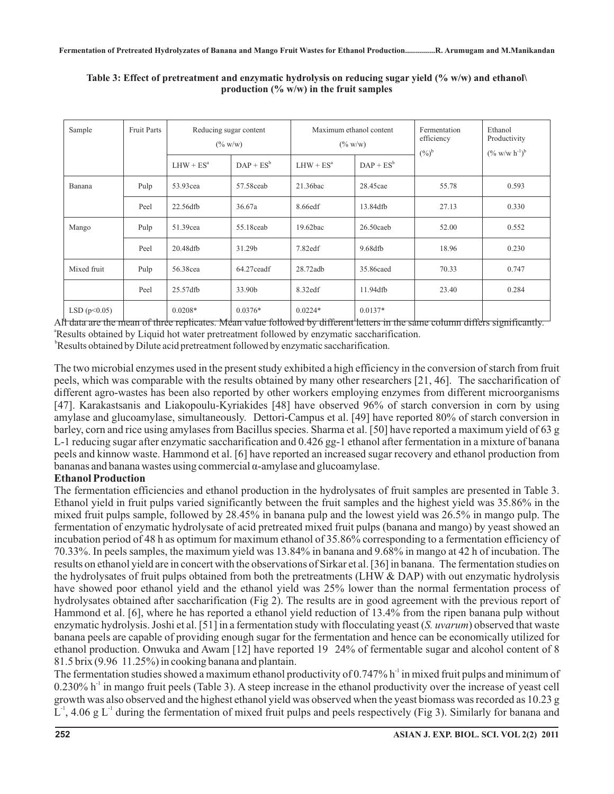| Sample         | <b>Fruit Parts</b> | Reducing sugar content<br>$(\% w/w)$ |              | Maximum ethanol content<br>$(\% w/w)$ |              | Fermentation<br>efficiency<br>$(\%)^{\flat}$ | Ethanol<br>Productivity<br>$(\% w/w h^{-1})^b$ |
|----------------|--------------------|--------------------------------------|--------------|---------------------------------------|--------------|----------------------------------------------|------------------------------------------------|
|                |                    | $LHW + ESa$                          | $DAP + ES^b$ | $LHW + ESa$                           | $DAP + ES^b$ |                                              |                                                |
| Banana         | Pulp               | 53.93cea                             | 57.58 ceab   | 21.36bac                              | 28.45cae     | 55.78                                        | 0.593                                          |
|                | Peel               | 22.56dfb                             | 36.67a       | 8.66edf                               | 13.84dfb     | 27.13                                        | 0.330                                          |
| Mango          | Pulp               | 51.39cea                             | 55.18ceab    | 19.62bac                              | $26.50$ caeb | 52.00                                        | 0.552                                          |
|                | Peel               | 20.48dfb                             | 31.29b       | 7.82edf                               | 9.68dfb      | 18.96                                        | 0.230                                          |
| Mixed fruit    | Pulp               | 56.38cea                             | 64.27 ceadf  | 28.72adb                              | 35.86caed    | 70.33                                        | 0.747                                          |
|                | Peel               | 25.57dfb                             | 33.90b       | 8.32edf                               | 11.94dfb     | 23.40                                        | 0.284                                          |
| LSD $(p<0.05)$ |                    | $0.0208*$                            | $0.0376*$    | $0.0224*$                             | $0.0137*$    |                                              |                                                |

**Table 3: Effect of pretreatment and enzymatic hydrolysis on reducing sugar yield (% w/w) and ethanol\ production (% w/w) in the fruit samples**

Alt data are the mean of three replicates. Mean value followed by different letters in the same column differs significantly. <sup>a</sup>Results obtained by Liquid hot water pretreatment followed by enzymatic saccharification.

<sup>b</sup>Results obtained by Dilute acid pretreatment followed by enzymatic saccharification.

The two microbial enzymes used in the present study exhibited a high efficiency in the conversion of starch from fruit peels, which was comparable with the results obtained by many other researchers [21, 46]. The saccharification of different agro-wastes has been also reported by other workers employing enzymes from different microorganisms [47]. Karakastsanis and Liakopoulu-Kyriakides [48] have observed 96% of starch conversion in corn by using amylase and glucoamylase, simultaneously. Dettori-Campus et al. [49] have reported 80% of starch conversion in barley, corn and rice using amylases from Bacillus species. Sharma et al. [50] have reported a maximum yield of 63 g L-1 reducing sugar after enzymatic saccharification and 0.426 gg-1 ethanol after fermentation in a mixture of banana peels and kinnow waste. Hammond et al. [6] have reported an increased sugar recovery and ethanol production from bananas and banana wastes using commercial α-amylase and glucoamylase.

### **Ethanol Production**

The fermentation efficiencies and ethanol production in the hydrolysates of fruit samples are presented in Table 3. Ethanol yield in fruit pulps varied significantly between the fruit samples and the highest yield was 35.86% in the mixed fruit pulps sample, followed by 28.45% in banana pulp and the lowest yield was 26.5% in mango pulp. The fermentation of enzymatic hydrolysate of acid pretreated mixed fruit pulps (banana and mango) by yeast showed an incubation period of 48 h as optimum for maximum ethanol of 35.86% corresponding to a fermentation efficiency of 70.33%. In peels samples, the maximum yield was 13.84% in banana and 9.68% in mango at 42 h of incubation. The results on ethanol yield are in concert with the observations of Sirkar et al. [36] in banana. The fermentation studies on the hydrolysates of fruit pulps obtained from both the pretreatments (LHW & DAP) with out enzymatic hydrolysis have showed poor ethanol yield and the ethanol yield was 25% lower than the normal fermentation process of hydrolysates obtained after saccharification (Fig 2). The results are in good agreement with the previous report of Hammond et al. [6], where he has reported a ethanol yield reduction of 13.4% from the ripen banana pulp without enzymatic hydrolysis. Joshi et al. [51] in a fermentation study with flocculating yeast (S. *uvarum*) observed that waste banana peels are capable of providing enough sugar for the fermentation and hence can be economically utilized for ethanol production. Onwuka and Awam [12] have reported 19 24% of fermentable sugar and alcohol content of 8 81.5 brix (9.96 11.25%) in cooking banana and plantain.

The fermentation studies showed a maximum ethanol productivity of  $0.747\%$  h<sup>-1</sup> in mixed fruit pulps and minimum of  $0.230\%$  h<sup>-1</sup> in mango fruit peels (Table 3). A steep increase in the ethanol productivity over the increase of yeast cell growth was also observed and the highest ethanol yield was observed when the yeast biomass was recorded as 10.23 g  $L^1$ , 4.06 g  $L^1$  during the fermentation of mixed fruit pulps and peels respectively (Fig 3). Similarly for banana and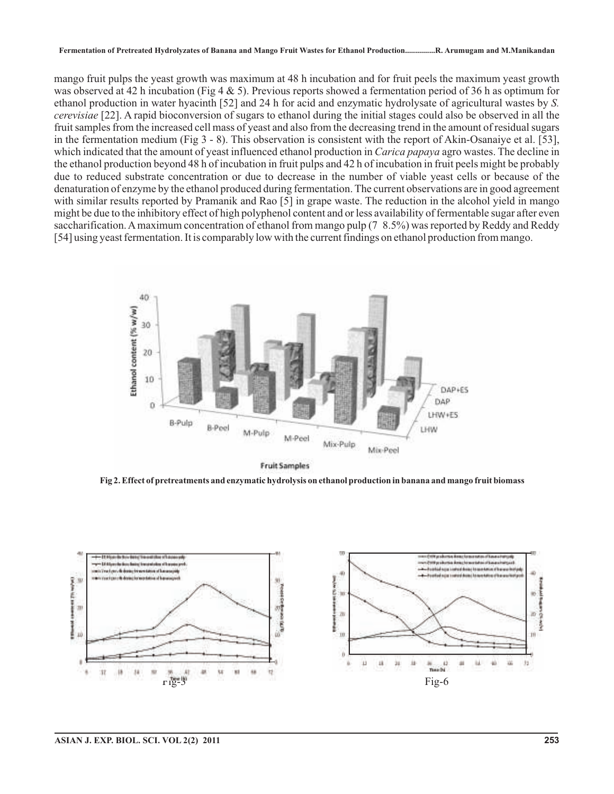#### **Fermentation of Pretreated Hydrolyzates of Banana and Mango Fruit Wastes for Ethanol Production...............R. Arumugam and M.Manikandan**

mango fruit pulps the yeast growth was maximum at 48 h incubation and for fruit peels the maximum yeast growth was observed at 42 h incubation (Fig 4  $\&$  5). Previous reports showed a fermentation period of 36 h as optimum for ethanol production in water hyacinth [52] and 24 h for acid and enzymatic hydrolysate of agricultural wastes by *S.* [22]. A rapid bioconversion of sugars to ethanol during the initial stages could also be observed in all the *cerevisiae* fruit samples from the increased cell mass of yeast and also from the decreasing trend in the amount of residual sugars in the fermentation medium (Fig 3 - 8). This observation is consistent with the report of Akin-Osanaiye et al. [53], which indicated that the amount of yeast influenced ethanol production in *Carica papaya* agro wastes. The decline in the ethanol production beyond 48 h of incubation in fruit pulps and 42 h of incubation in fruit peels might be probably due to reduced substrate concentration or due to decrease in the number of viable yeast cells or because of the denaturation of enzyme by the ethanol produced during fermentation. The current observations are in good agreement with similar results reported by Pramanik and Rao [5] in grape waste. The reduction in the alcohol yield in mango might be due to the inhibitory effect of high polyphenol content and or less availability of fermentable sugar after even saccharification. Amaximum concentration of ethanol from mango pulp (7 8.5%) was reported by Reddy and Reddy [54] using yeast fermentation. It is comparably low with the current findings on ethanol production from mango.



**Fruit Samples** 

**Fig 2. Effect of pretreatments and enzymatic hydrolysis on ethanol production in banana and mango fruit biomass**

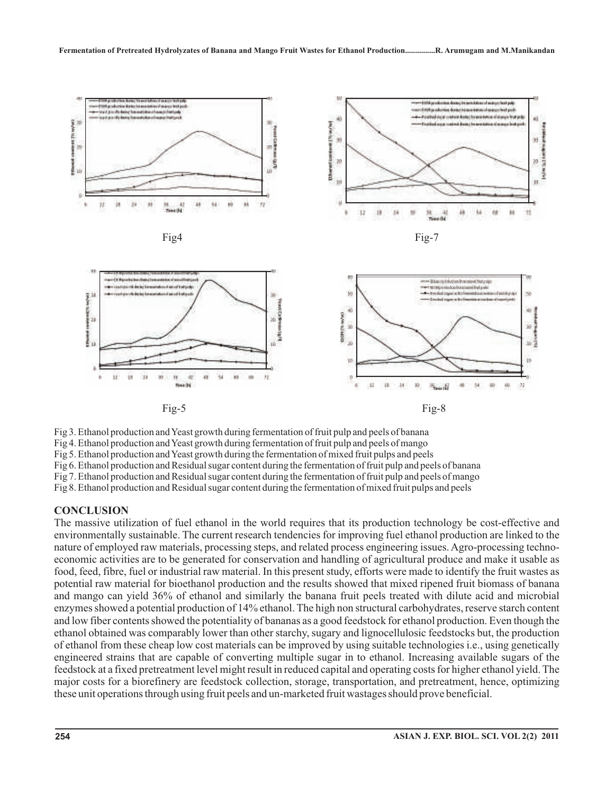

Fig 3. Ethanol production andYeast growth during fermentation of fruit pulp and peels of banana Fig 4. Ethanol production andYeast growth during fermentation of fruit pulp and peels of mango Fig 5. Ethanol production andYeast growth during the fermentation of mixed fruit pulps and peels Fig 6. Ethanol production and Residual sugar content during the fermentation of fruit pulp and peels of banana Fig 7. Ethanol production and Residual sugar content during the fermentation of fruit pulp and peels of mango Fig 8. Ethanol production and Residual sugar content during the fermentation of mixed fruit pulps and peels

#### **CONCLUSION**

The massive utilization of fuel ethanol in the world requires that its production technology be cost-effective and environmentally sustainable. The current research tendencies for improving fuel ethanol production are linked to the nature of employed raw materials, processing steps, and related process engineering issues. Agro-processing technoeconomic activities are to be generated for conservation and handling of agricultural produce and make it usable as food, feed, fibre, fuel or industrial raw material. In this present study, efforts were made to identify the fruit wastes as potential raw material for bioethanol production and the results showed that mixed ripened fruit biomass of banana and mango can yield 36% of ethanol and similarly the banana fruit peels treated with dilute acid and microbial enzymes showed a potential production of 14% ethanol. The high non structural carbohydrates, reserve starch content and low fiber contents showed the potentiality of bananas as a good feedstock for ethanol production. Even though the ethanol obtained was comparably lower than other starchy, sugary and lignocellulosic feedstocks but, the production of ethanol from these cheap low cost materials can be improved by using suitable technologies i.e., using genetically engineered strains that are capable of converting multiple sugar in to ethanol. Increasing available sugars of the feedstock at a fixed pretreatment level might result in reduced capital and operating costs for higher ethanol yield. The major costs for a biorefinery are feedstock collection, storage, transportation, and pretreatment, hence, optimizing these unit operations through using fruit peels and un-marketed fruit wastages should prove beneficial.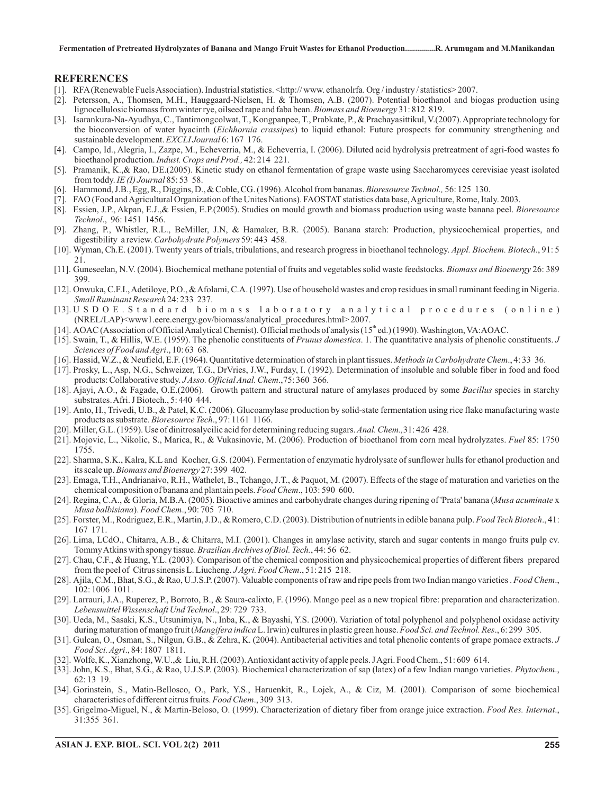**Fermentation of Pretreated Hydrolyzates of Banana and Mango Fruit Wastes for Ethanol Production...............R. Arumugam and M.Manikandan**

#### **REFERENCES**

- [1]. RFA (Renewable FuelsAssociation). Industrial statistics. <http:// www. ethanolrfa. Org / industry / statistics> 2007.
- [2]. Petersson, A., Thomsen, M.H., Hauggaard-Nielsen, H. & Thomsen, A.B. (2007). Potential bioethanol and biogas production using lignocellulosic biomass from winter rye, oilseed rape and faba bean. *Biomass and Bioenergy* 31: 812 819.
- [3]. Isarankura-Na-Ayudhya, C., Tantimongcolwat, T., Kongpanpee, T., Prabkate, P., & Prachayasittikul, V.(2007).Appropriate technology for the bioconversion of water hyacinth (*Eichhornia crassipes*) to liquid ethanol: Future prospects for community strengthening and sustainable development. EXCLI Journal 6: 167 176.
- [4]. Campo, Id., Alegria, I., Zazpe, M., Echeverria, M., & Echeverria, I. (2006). Diluted acid hydrolysis pretreatment of agri-food wastes fo bioethanol production. Indust. Crops and Prod., 42: 214 221.
- [5]. Pramanik, K.,& Rao, DE.(2005). Kinetic study on ethanol fermentation of grape waste using Saccharomyces cerevisiae yeast isolated from toddy. *IE* (*I*) *Journal* 85: 53 58.
- [6]. Hammond, J.B., Egg, R., Diggins, D., & Coble, CG. (1996). Alcohol from bananas. *Bioresource Technol.*, 56: 125 130.
- [7]. FAO (Food andAgricultural Organization of the Unites Nations). FAOSTAT statistics data base,Agriculture, Rome, Italy. 2003.
- [8]. Essien, J.P., Akpan, E.J.,& Essien, E.P.(2005). Studies on mould growth and biomass production using waste banana peel. *Bioresource* ., 96: 1451 1456. *Technol*
- [9]. Zhang, P., Whistler, R.L., BeMiller, J.N, & Hamaker, B.R. (2005). Banana starch: Production, physicochemical properties, and digestibility a review. Carbohydrate Polymers 59: 443 458.
- [10]. Wyman, Ch.E. (2001). Twenty years of trials, tribulations, and research progress in bioethanol technology. Appl. Biochem. Biotech., 91: 5 21.
- [11]. Guneseelan, N.V. (2004). Biochemical methane potential of fruits and vegetables solid waste feedstocks. Biomass and Bioenergy 26: 389 399.
- [12]. Onwuka, C.F.I.,Adetiloye, P.O., &Afolami, C.A. (1997). Use of household wastes and crop residues in small ruminant feeding in Nigeria. Small Ruminant Research 24: 233 237.
- [13]. U S D O E . S t a n d a r d b i o m a s s l a b o r a t o r y a n a l y t i c a l p r o c e d u r e s (on line) (NREL/LAP)<www1.eere.energy.gov/biomass/analytical\_procedures.html> 2007.
- [14]. AOAC (Association of Official Analytical Chemist). Official methods of analysis (15<sup>th</sup> ed.) (1990). Washington, VA:AOAC.
- [15]. Swain, T., & Hillis, W.E. (1959). The phenolic constituents of *Prunus domestica*. 1. The quantitative analysis of phenolic constituents. J Sciences of Food and Agri., 10: 63 68.
- [16]. Hassid, W.Z., & Neufield, E.F. (1964). Quantitative determination of starch in plant tissues. Methods in Carbohydrate Chem., 4: 33 36.
- [17]. Prosky, L., Asp, N.G., Schweizer, T.G., DrVries, J.W., Furday, I. (1992). Determination of insoluble and soluble fiber in food and food products: Collaborative study. JAsso. Official Anal. Chem., 75: 360 366.
- [18]. Ajayi, A.O., & Fagade, O.E.(2006). Growth pattern and structural nature of amylases produced by some Bacillus species in starchy substrates.Afri. J Biotech., 5: 440 444.
- [19]. Anto, H., Trivedi, U.B., & Patel, K.C. (2006). Glucoamylase production by solid-state fermentation using rice flake manufacturing waste products as substrate. *Bioresource Tech.*, 97: 1161 1166.
- [20]. Miller, G.L. (1959). Use of dinitrosalycilic acid for determining reducing sugars. Anal. Chem., 31: 426 428.
- [21]. Mojovic, L., Nikolic, S., Marica, R., & Vukasinovic, M. (2006). Production of bioethanol from corn meal hydrolyzates. Fuel 85: 1750 1755.
- [22]. Sharma, S.K., Kalra, K.L and Kocher, G.S. (2004). Fermentation of enzymatic hydrolysate of sunflower hulls for ethanol production and its scale up. Biomass and Bioenergy 27: 399 402.
- [23]. Emaga, T.H., Andrianaivo, R.H., Wathelet, B., Tchango, J.T., & Paquot, M. (2007). Effects of the stage of maturation and varieties on the chemical composition of banana and plantain peels. Food Chem., 103: 590 600.
- [24]. Regina, C.A., & Gloria, M.B.A. (2005). Bioactive amines and carbohydrate changes during ripening of 'Prata' banana (Musa acuminate x Musa balbisiana). Food Chem., 90: 705 710.
- [25]. Forster, M., Rodriguez, E.R., Martin, J.D., & Romero, C.D. (2003). Distribution of nutrients in edible banana pulp. Food Tech Biotech., 41: 167 171.
- [26]. Lima, LCdO., Chitarra, A.B., & Chitarra, M.I. (2001). Changes in amylase activity, starch and sugar contents in mango fruits pulp cv. Tommy Atkins with spongy tissue. Brazilian Archives of Biol. Tech., 44: 56 62.
- [27]. Chau, C.F., & Huang, Y.L. (2003). Comparison of the chemical composition and physicochemical properties of different fibers prepared from the peel of Citrus sinensis L. Liucheng. JAgri. Food Chem., 51:215 218.
- [28]. Ajila, C.M., Bhat, S.G., & Rao, U.J.S.P. (2007). Valuable components of raw and ripe peels from two Indian mango varieties . Food Chem., 102: 1006 1011.
- [29]. Larrauri, J.A., Ruperez, P., Borroto, B., & Saura-calixto, F. (1996). Mango peel as a new tropical fibre: preparation and characterization. ., 29: 729 733. *Lebensmittel Wissenschaft Und Technol*
- [30]. Ueda, M., Sasaki, K.S., Utsunimiya, N., Inba, K., & Bayashi, Y.S. (2000). Variation of total polyphenol and polyphenol oxidase activity during maturation of mango fruit (*Mangifera indica* L. Irwin) cultures in plastic green house. Food Sci. and Technol. Res., 6: 299 305.
- [31]. Gulcan, O., Osman, S., Nilgun, G.B., & Zehra, K. (2004). Antibacterial activities and total phenolic contents of grape pomace extracts. *J* ., 84: 1807 1811. *Food Sci. Agri*
- [32]. Wolfe, K., Xianzhong,W.U.,& Liu, R.H. (2003).Antioxidant activity of apple peels. JAgri. Food Chem., 51: 609 614.
- [33]. John, K.S., Bhat, S.G., & Rao, U.J.S.P. (2003). Biochemical characterization of sap (latex) of a few Indian mango varieties. *Phytochem.*, 62: 13 19.
- [34]. Gorinstein, S., Matin-Bellosco, O., Park, Y.S., Haruenkit, R., Lojek, A., & Ciz, M. (2001). Comparison of some biochemical characteristics of different citrus fruits. Food Chem., 309 313.
- [35]. Grigelmo-Miguel, N., & Martin-Beloso, O. (1999). Characterization of dietary fiber from orange juice extraction. Food Res. Internat., 31:355 361.